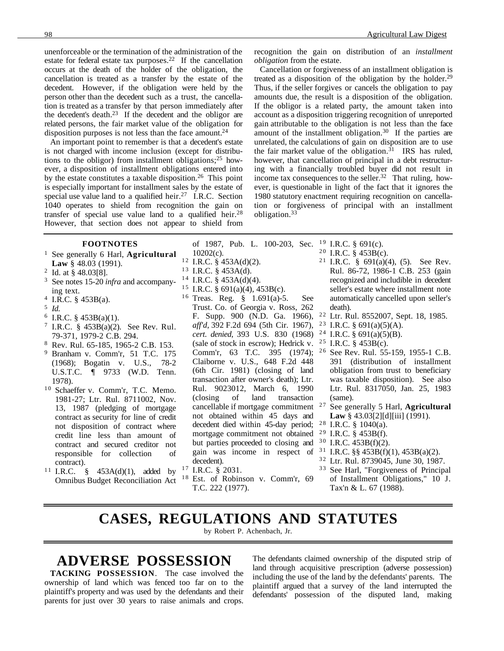unenforceable or the termination of the administration of the estate for federal estate tax purposes.<sup>22</sup> If the cancellation occurs at the death of the holder of the obligation, the cancellation is treated as a transfer by the estate of the decedent. However, if the obligation were held by the person other than the decedent such as a trust, the cancellation is treated as a transfer by that person immediately after the decedent's death.23 If the decedent and the obligor are related persons, the fair market value of the obligation for disposition purposes is not less than the face amount.<sup>24</sup>

An important point to remember is that a decedent's estate is not charged with income inclusion (except for distributions to the obligor) from installment obligations;  $25$  however, a disposition of installment obligations entered into by the estate constitutes a taxable disposition.<sup>26</sup> This point is especially important for installment sales by the estate of special use value land to a qualified heir.<sup>27</sup> I.R.C. Section 1040 operates to shield from recognition the gain on transfer of special use value land to a qualified heir.<sup>28</sup> However, that section does not appear to shield from

> 10202(c).  $12$  I.R.C. § 453A(d)(2). <sup>13</sup> I.R.C. § 453A(d).  $14$  I.R.C. § 453A(d)(4). <sup>15</sup> I.R.C. § 691(a)(4), 453B(c). <sup>16</sup> Treas. Reg. § 1.691(a)-5. See Trust. Co. of Georgia v. Ross, 262 F. Supp. 900 (N.D. Ga. 1966), *aff'd*, 392 F.2d 694 (5th Cir. 1967), *cert. denied*, 393 U.S. 830 (1968)

decedent).  $^{17}$  I.R.C. § 2031.

T.C. 222 (1977).

#### **FOOTNOTES**

- <sup>1</sup> See generally 6 Harl, **Agricultural Law** § 48.03 (1991).
- <sup>2</sup> Id. at § 48.03[8].<br><sup>3</sup> See notes 15.20 is
- See notes 15-20 *infra* and accompanying text.
- <sup>4</sup> I.R.C. § 453B(a).
- <sup>5</sup> *Id*.
- <sup>6</sup> I.R.C. § 453B(a)(1).
- <sup>7</sup> I.R.C. §  $453B(a)(2)$ . See Rev. Rul. 79-371, 1979-2 C.B. 294.
- <sup>8</sup> Rev. Rul. 65-185, 1965-2 C.B. 153. <sup>9</sup> Branham v. Comm'r, 51 T.C. 175 (1968); Bogatin v. U.S., 78-2
- U.S.T.C. ¶ 9733 (W.D. Tenn. 1978). <sup>10</sup> Schaeffer v. Comm'r, T.C. Memo. 1981-27; Ltr. Rul. 8711002, Nov.
- 13, 1987 (pledging of mortgage contract as security for line of credit not disposition of contract where credit line less than amount of contract and secured creditor not responsible for collection of contract).
- <sup>11</sup> I.R.C. § 453A(d)(1), added by <sup>17</sup> Omnibus Budget Reconciliation Act

*obligation* from the estate.

ing with a financially troubled buyer did not result in income tax consequences to the seller.32 That ruling, however, is questionable in light of the fact that it ignores the 1980 statutory enactment requiring recognition on cancellation or forgiveness of principal with an installment obligation.33

recognition the gain on distribution of an *installment*

Cancellation or forgiveness of an installment obligation is treated as a disposition of the obligation by the holder.29 Thus, if the seller forgives or cancels the obligation to pay amounts due, the result is a disposition of the obligation. If the obligor is a related party, the amount taken into account as a disposition triggering recognition of unreported gain attributable to the obligation is not less than the face amount of the installment obligation.30 If the parties are unrelated, the calculations of gain on disposition are to use the fair market value of the obligation.<sup>31</sup> IRS has ruled, however, that cancellation of principal in a debt restructur-

- of 1987, Pub. L. 100-203, Sec. <sup>19</sup> I.R.C. § 691(c).
	- $20$  I.R.C. § 453B(c).
	- <sup>21</sup> I.R.C. §  $691(a)(4)$ , (5). See Rev. Rul. 86-72, 1986-1 C.B. 253 (gain recognized and includible in decedent seller's estate where installment note automatically cancelled upon seller's death).
	- <sup>22</sup> Ltr. Rul. 8552007, Sept. 18, 1985.<br><sup>23</sup> I.R.C. 8 691(a)(5)(A).
	- <sup>23</sup> I.R.C. § 691(a)(5)(A).<br><sup>24</sup> I R C § 691(a)(5)(B)
	- <sup>24</sup> I.R.C. § 691(a)(5)(B).<br><sup>25</sup> I R C § 453B(c)
- (sale of stock in escrow); Hedrick v. I.R.C.  $§$  453B(c).
- Comm'r, 63 T.C. 395 (1974); <sup>26</sup> See Rev. Rul. 55-159, 1955-1 C.B. 391 (distribution of installment obligation from trust to beneficiary was taxable disposition). See also Ltr. Rul. 8317050, Jan. 25, 1983 (same).
	- <sup>27</sup> See generally 5 Harl, **Agricultural Law** § 43.03[2][d][iii] (1991).
	- $28$  I.R.C. § 1040(a).
	- $29$  I.R.C. § 453B(f).
	- $30$  I.R.C.  $453B(f)(2)$ .
	- $31$  I.R.C. §§ 453B(f)(1), 453B(a)(2).
	- <sup>32</sup> Ltr. Rul. 8739045, June 30, 1987.
	- 3 3 See Harl, "Forgiveness of Principal of Installment Obligations," 10 J. Tax'n & L. 67 (1988).

### **CASES, REGULATIONS AND STATUTES** by Robert P. Achenbach, Jr.

Est. of Robinson v. Comm'r, 69

Claiborne v. U.S., 648 F.2d 448 (6th Cir. 1981) (closing of land transaction after owner's death); Ltr. Rul. 9023012, March 6, 1990 (closing of land transaction cancellable if mortgage commitment not obtained within 45 days and decedent died within 45-day period; mortgage commitment not obtained but parties proceeded to closing and gain was income in respect of

# **ADVERSE POSSESSION**

**TACKING POSSESSION**. The case involved the ownership of land which was fenced too far on to the plaintiff's property and was used by the defendants and their parents for just over 30 years to raise animals and crops.

The defendants claimed ownership of the disputed strip of land through acquisitive prescription (adverse possession) including the use of the land by the defendants' parents. The plaintiff argued that a survey of the land interrupted the defendants' possession of the disputed land, making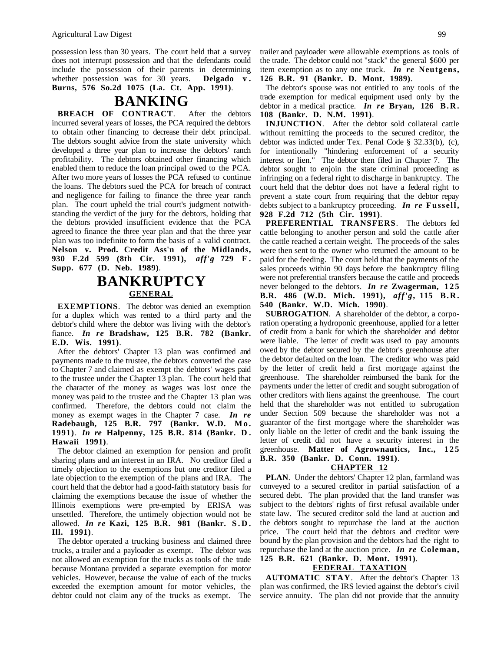possession less than 30 years. The court held that a survey does not interrupt possession and that the defendants could include the possession of their parents in determining whether possession was for 30 years. **Delgado v . Burns, 576 So.2d 1075 (La. Ct. App. 1991)**.

### **BANKING**

**BREACH OF CONTRACT**. After the debtors incurred several years of losses, the PCA required the debtors to obtain other financing to decrease their debt principal. The debtors sought advice from the state university which developed a three year plan to increase the debtors' ranch profitability. The debtors obtained other financing which enabled them to reduce the loan principal owed to the PCA. After two more years of losses the PCA refused to continue the loans. The debtors sued the PCA for breach of contract and negligence for failing to finance the three year ranch plan. The court upheld the trial court's judgment notwithstanding the verdict of the jury for the debtors, holding that the debtors provided insufficient evidence that the PCA agreed to finance the three year plan and that the three year plan was too indefinite to form the basis of a valid contract. **Nelson v. Prod. Credit Ass'n of the Midlands, 930 F.2d 599 (8th Cir. 1991),** *aff'g* **729 F . Supp. 677 (D. Neb. 1989)**.

# **BANKRUPTCY GENERAL**

**EXEMPTIONS**. The debtor was denied an exemption for a duplex which was rented to a third party and the debtor's child where the debtor was living with the debtor's fiance. *In re* **Bradshaw, 125 B.R. 782 (Bankr. E.D. Wis. 1991)**.

After the debtors' Chapter 13 plan was confirmed and payments made to the trustee, the debtors converted the case to Chapter 7 and claimed as exempt the debtors' wages paid to the trustee under the Chapter 13 plan. The court held that the character of the money as wages was lost once the money was paid to the trustee and the Chapter 13 plan was confirmed. Therefore, the debtors could not claim the money as exempt wages in the Chapter 7 case. *In re* **Radebaugh, 125 B.R. 797 (Bankr. W.D. Mo. 1991)**. *In re* **Halpenny, 125 B.R. 814 (Bankr. D . Hawaii 1991)**.

The debtor claimed an exemption for pension and profit sharing plans and an interest in an IRA. No creditor filed a timely objection to the exemptions but one creditor filed a late objection to the exemption of the plans and IRA. The court held that the debtor had a good-faith statutory basis for claiming the exemptions because the issue of whether the Illinois exemptions were pre-empted by ERISA was unsettled. Therefore, the untimely objection would not be allowed. *In re* **Kazi, 125 B.R. 981 (Bankr. S.D. Ill. 1991)**.

The debtor operated a trucking business and claimed three trucks, a trailer and a payloader as exempt. The debtor was not allowed an exemption for the trucks as tools of the trade because Montana provided a separate exemption for motor vehicles. However, because the value of each of the trucks exceeded the exemption amount for motor vehicles, the debtor could not claim any of the trucks as exempt. The trailer and payloader were allowable exemptions as tools of the trade. The debtor could not "stack" the general \$600 per item exemption as to any one truck. *In re* **Neutgens, 126 B.R. 91 (Bankr. D. Mont. 1989)**.

The debtor's spouse was not entitled to any tools of the trade exemption for medical equipment used only by the debtor in a medical practice. *In re* **Bryan, 126 B.R. 108 (Bankr. D. N.M. 1991)**.

**INJUNCTION**. After the debtor sold collateral cattle without remitting the proceeds to the secured creditor, the debtor was indicted under Tex. Penal Code § 32.33(b), (c), for intentionally "hindering enforcement of a security interest or lien." The debtor then filed in Chapter 7. The debtor sought to enjoin the state criminal proceeding as infringing on a federal right to discharge in bankruptcy. The court held that the debtor does not have a federal right to prevent a state court from requiring that the debtor repay debts subject to a bankruptcy proceeding. *In re* **Fussell, 928 F.2d 712 (5th Cir. 1991)**.

**PREFERENTIAL TRANSFERS**. The debtors fed cattle belonging to another person and sold the cattle after the cattle reached a certain weight. The proceeds of the sales were then sent to the owner who returned the amount to be paid for the feeding. The court held that the payments of the sales proceeds within 90 days before the bankruptcy filing were not preferential transfers because the cattle and proceeds never belonged to the debtors. *In re* **Zwagerman, 125 B.R. 486 (W.D. Mich. 1991),** *aff'g***, 115 B.R. 540 (Bankr. W.D. Mich. 1990)**.

**SUBROGATION**. A shareholder of the debtor, a corporation operating a hydroponic greenhouse, applied for a letter of credit from a bank for which the shareholder and debtor were liable. The letter of credit was used to pay amounts owed by the debtor secured by the debtor's greenhouse after the debtor defaulted on the loan. The creditor who was paid by the letter of credit held a first mortgage against the greenhouse. The shareholder reimbursed the bank for the payments under the letter of credit and sought subrogation of other creditors with liens against the greenhouse. The court held that the shareholder was not entitled to subrogation under Section 509 because the shareholder was not a guarantor of the first mortgage where the shareholder was only liable on the letter of credit and the bank issuing the letter of credit did not have a security interest in the greenhouse. **Matter of Agrownautics, Inc., 125 B.R. 350 (Bankr. D. Conn. 1991)**.

#### **CHAPTER 12**

**PLAN**. Under the debtors' Chapter 12 plan, farmland was conveyed to a secured creditor in partial satisfaction of a secured debt. The plan provided that the land transfer was subject to the debtors' rights of first refusal available under state law. The secured creditor sold the land at auction and the debtors sought to repurchase the land at the auction price. The court held that the debtors and creditor were bound by the plan provision and the debtors had the right to repurchase the land at the auction price. *In re* **Coleman, 125 B.R. 621 (Bankr. D. Mont. 1991)**.

### **FEDERAL TAXATION**

**AUTOMATIC STAY**. After the debtor's Chapter 13 plan was confirmed, the IRS levied against the debtor's civil service annuity. The plan did not provide that the annuity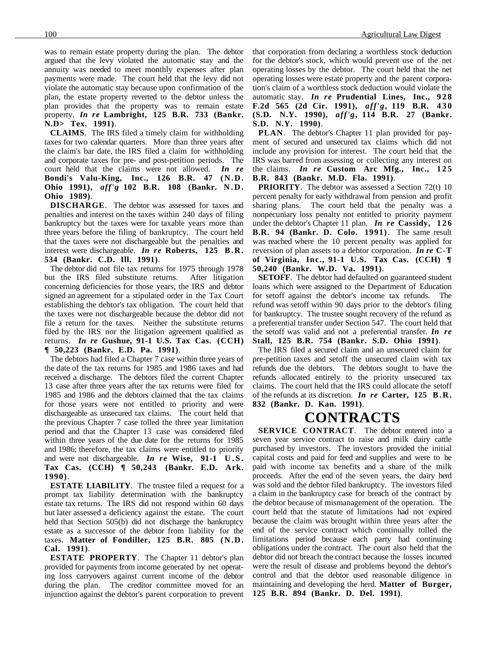was to remain estate property during the plan. The debtor argued that the levy violated the automatic stay and the annuity was needed to meet monthly expenses after plan payments were made. The court held that the levy did not violate the automatic stay because upon confirmation of the plan, the estate property reverted to the debtor unless the plan provides that the property was to remain estate property. *In re* **Lambright, 125 B.R. 733 (Bankr. N.D> Tex. 1991)**.

**CLAIMS**. The IRS filed a timely claim for withholding taxes for two calendar quarters. More than three years after the claim's bar date, the IRS filed a claim for withholding and corporate taxes for pre- and post-petition periods. The court held that the claims were not allowed. *In re* **Bondi's Valu-King, Inc., 126 B.R. 47 (N.D. Ohio 1991),** *aff'g* **102 B.R. 108 (Bankr. N.D. Ohio 1989)**.

**DISCHARGE**. The debtor was assessed for taxes and penalties and interest on the taxes within 240 days of filing bankruptcy but the taxes were for taxable years more than three years before the filing of bankruptcy. The court held that the taxes were not dischargeable but the penalties and interest were dischargeable. *In re* **Roberts, 125 B.R. 534 (Bankr. C.D. Ill. 1991)**.

The debtor did not file tax returns for 1975 through 1978 but the IRS filed substitute returns. After litigation concerning deficiencies for those years, the IRS and debtor signed an agreement for a stipulated order in the Tax Court establishing the debtor's tax obligation. The court held that the taxes were not dischargeable because the debtor did not file a return for the taxes. Neither the substitute returns filed by the IRS nor the litigation agreement qualified as returns. *In re* **Gushue, 91-1 U.S. Tax Cas. (CCH) ¶ 50,223 (Bankr. E.D. Pa. 1991)**.

The debtors had filed a Chapter 7 case within three years of the date of the tax returns for 1985 and 1986 taxes and had received a discharge. The debtors filed the current Chapter 13 case after three years after the tax returns were filed for 1985 and 1986 and the debtors claimed that the tax claims for those years were not entitled to priority and were dischargeable as unsecured tax claims. The court held that the previous Chapter 7 case tolled the three year limitation period and that the Chapter 13 case was considered filed within three years of the due date for the returns for 1985 and 1986; therefore, the tax claims were entitled to priority and were not dischargeable. *In re* **Wise, 91-1 U.S. Tax Cas. (CCH) ¶ 50,243 (Bankr. E.D. Ark. 1990)**.

**ESTATE LIABILITY**. The trustee filed a request for a prompt tax liability determination with the bankruptcy estate tax returns. The IRS did not respond within 60 days but later assessed a deficiency against the estate. The court held that Section 505(b) did not discharge the bankruptcy estate as a successor of the debtor from liability for the taxes. **Matter of Fondiller, 125 B.R. 805 (N.D. Cal. 1991)**.

**ESTATE PROPERTY**. The Chapter 11 debtor's plan provided for payments from income generated by net operating loss carryovers against current income of the debtor during the plan. The creditor committee moved for an injunction against the debtor's parent corporation to prevent that corporation from declaring a worthless stock deduction for the debtor's stock, which would prevent use of the net operating losses by the debtor. The court held that the net operating losses were estate property and the parent corporation's claim of a worthless stock deduction would violate the automatic stay. *In re* Prudential Lines, Inc., 928 **F.2d 565 (2d Cir. 1991),** *aff'g***, 119 B.R. 4 3 0 (S.D. N.Y. 1990),** *aff'g***, 114 B.R. 27 (Bankr. S.D. N.Y. 1990)**.

**PLAN**. The debtor's Chapter 11 plan provided for payment of secured and unsecured tax claims which did not include any provision for interest. The court held that the IRS was barred from assessing or collecting any interest on the claims. *In re* Custom Arc Mfg., Inc., 125 **B.R. 843 (Bankr. M.D. Fla. 1991)**.

**PRIORITY**. The debtor was assessed a Section 72(t) 10 percent penalty for early withdrawal from pension and profit sharing plans. The court held that the penalty was a nonpecuniary loss penalty not entitled to priority payment under the debtor's Chapter 11 plan. *In re* **Cassidy, 126 B.R. 94 (Bankr. D. Colo. 1991)**. The same result was reached where the 10 percent penalty was applied for reversion of plan assets to a debtor corporation. *In re* **C-T of Virginia, Inc., 91-1 U.S. Tax Cas. (CCH) ¶ 50,240 (Bankr. W.D. Va. 1991)**.

**SETOFF.** The debtor had defaulted on guaranteed student loans which were assigned to the Department of Education for setoff against the debtor's income tax refunds. The refund was setoff within 90 days prior to the debtor's filing for bankruptcy. The trustee sought recovery of the refund as a preferential transfer under Section 547. The court held that the setoff was valid and not a preferential transfer. *In re* **Stall, 125 B.R. 754 (Bankr. S.D. Ohio 1991)**.

The IRS filed a secured claim and an unsecured claim for pre-petition taxes and setoff the unsecured claim with tax refunds due the debtors. The debtors sought to have the refunds allocated entirely to the priority unsecured tax claims. The court held that the IRS could allocate the setoff of the refunds at its discretion. *In re* **Carter, 125 B.R. 832 (Bankr. D. Kan. 1991)**.

# **CONTRACTS**

**SERVICE CONTRACT**. The debtor entered into a seven year service contract to raise and milk dairy cattle purchased by investors. The investors provided the initial capital costs and paid for feed and supplies and were to be paid with income tax benefits and a share of the milk proceeds. After the end of the seven years, the dairy herd was sold and the debtor filed bankruptcy. The investors filed a claim in the bankruptcy case for breach of the contract by the debtor because of mismanagement of the operation. The court held that the statute of limitations had not expired because the claim was brought within three years after the end of the service contract which continually tolled the limitations period because each party had continuing obligations under the contract. The court also held that the debtor did not breach the contract because the losses incurred were the result of disease and problems beyond the debtor's control and that the debtor used reasonable diligence in maintaining and developing the herd. **Matter of Burger, 125 B.R. 894 (Bankr. D. Del. 1991)**.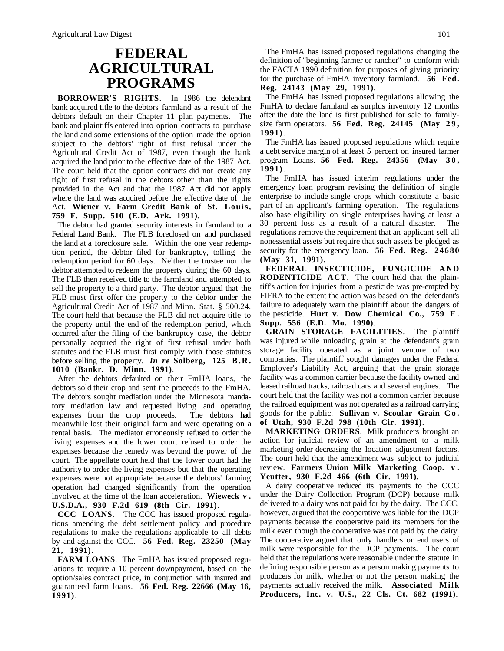### **FEDERAL AGRICULTURAL PROGRAMS**

**BORROWER'S RIGHTS**. In 1986 the defendant bank acquired title to the debtors' farmland as a result of the debtors' default on their Chapter 11 plan payments. The bank and plaintiffs entered into option contracts to purchase the land and some extensions of the option made the option subject to the debtors' right of first refusal under the Agricultural Credit Act of 1987, even though the bank acquired the land prior to the effective date of the 1987 Act. The court held that the option contracts did not create any right of first refusal in the debtors other than the rights provided in the Act and that the 1987 Act did not apply where the land was acquired before the effective date of the Act. **Wiener v. Farm Credit Bank of St. Louis, 759 F. Supp. 510 (E.D. Ark. 1991)**.

The debtor had granted security interests in farmland to a Federal Land Bank. The FLB foreclosed on and purchased the land at a foreclosure sale. Within the one year redemption period, the debtor filed for bankruptcy, tolling the redemption period for 60 days. Neither the trustee nor the debtor attempted to redeem the property during the 60 days. The FLB then received title to the farmland and attempted to sell the property to a third party. The debtor argued that the FLB must first offer the property to the debtor under the Agricultural Credit Act of 1987 and Minn. Stat. § 500.24. The court held that because the FLB did not acquire title to the property until the end of the redemption period, which occurred after the filing of the bankruptcy case, the debtor personally acquired the right of first refusal under both statutes and the FLB must first comply with those statutes before selling the property. *In re* **Solberg, 125 B.R. 1010 (Bankr. D. Minn. 1991)**.

After the debtors defaulted on their FmHA loans, the debtors sold their crop and sent the proceeds to the FmHA. The debtors sought mediation under the Minnesota mandatory mediation law and requested living and operating expenses from the crop proceeds. The debtors had meanwhile lost their original farm and were operating on a rental basis. The mediator erroneously refused to order the living expenses and the lower court refused to order the expenses because the remedy was beyond the power of the court. The appellate court held that the lower court had the authority to order the living expenses but that the operating expenses were not appropriate because the debtors' farming operation had changed significantly from the operation involved at the time of the loan acceleration. **Wieweck v . U.S.D.A., 930 F.2d 619 (8th Cir. 1991)**.

**CCC LOANS**. The CCC has issued proposed regulations amending the debt settlement policy and procedure regulations to make the regulations applicable to all debts by and against the CCC. **56 Fed. Reg. 23250 (May 21, 1991)**.

**FARM LOANS**. The FmHA has issued proposed regulations to require a 10 percent downpayment, based on the option/sales contract price, in conjunction with insured and guaranteed farm loans. **56 Fed. Reg. 22666 (May 16, 1991)**.

The FmHA has issued proposed regulations changing the definition of "beginning farmer or rancher" to conform with the FACTA 1990 definition for purposes of giving priority for the purchase of FmHA inventory farmland. **56 Fed. Reg. 24143 (May 29, 1991)**.

The FmHA has issued proposed regulations allowing the FmHA to declare farmland as surplus inventory 12 months after the date the land is first published for sale to familysize farm operators. **56 Fed. Reg. 24145 (May 2 9 , 1991)**.

The FmHA has issued proposed regulations which require a debt service margin of at least 5 percent on insured farmer program Loans. **56 Fed. Reg. 24356 (May 3 0 , 1991)**.

The FmHA has issued interim regulations under the emergency loan program revising the definition of single enterprise to include single crops which constitute a basic part of an applicant's farming operation. The regulations also base eligibility on single enterprises having at least a 30 percent loss as a result of a natural disaster. The regulations remove the requirement that an applicant sell all nonessential assets but require that such assets be pledged as security for the emergency loan. **56 Fed. Reg. 24680 (May 31, 1991)**.

**FEDERAL INSECTICIDE, FUNGICIDE AND RODENTICIDE ACT**. The court held that the plaintiff's action for injuries from a pesticide was pre-empted by FIFRA to the extent the action was based on the defendant's failure to adequately warn the plaintiff about the dangers of the pesticide. **Hurt v. Dow Chemical Co., 759 F . Supp. 556 (E.D. Mo. 1990)**.

**GRAIN STORAGE FACILITIES**. The plaintiff was injured while unloading grain at the defendant's grain storage facility operated as a joint venture of two companies. The plaintiff sought damages under the Federal Employer's Liability Act, arguing that the grain storage facility was a common carrier because the facility owned and leased railroad tracks, railroad cars and several engines. The court held that the facility was not a common carrier because the railroad equipment was not operated as a railroad carrying goods for the public. **Sullivan v. Scoular Grain C o . of Utah, 930 F.2d 798 (10th Cir. 1991)**.

**MARKETING ORDERS**. Milk producers brought an action for judicial review of an amendment to a milk marketing order decreasing the location adjustment factors. The court held that the amendment was subject to judicial review. **Farmers Union Milk Marketing Coop. v . Yeutter, 930 F.2d 466 (6th Cir. 1991)**.

A dairy cooperative reduced its payments to the CCC under the Dairy Collection Program (DCP) because milk delivered to a dairy was not paid for by the dairy. The CCC, however, argued that the cooperative was liable for the DCP payments because the cooperative paid its members for the milk even though the cooperative was not paid by the dairy. The cooperative argued that only handlers or end users of milk were responsible for the DCP payments. The court held that the regulations were reasonable under the statute in defining responsible person as a person making payments to producers for milk, whether or not the person making the payments actually received the milk. **Associated Milk Producers, Inc. v. U.S., 22 Cls. Ct. 682 (1991)**.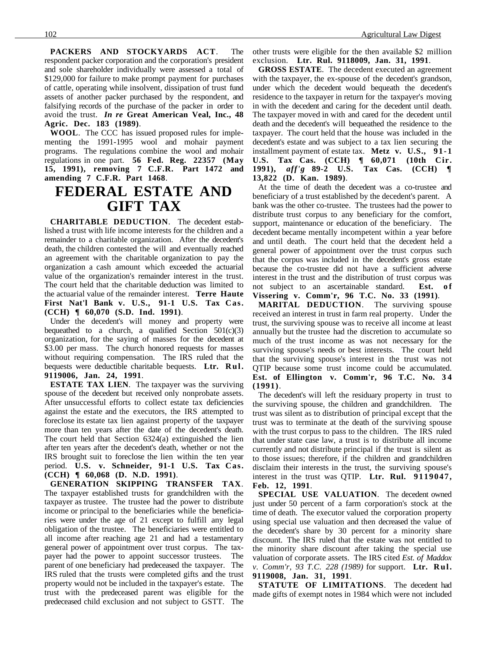**PACKERS AND STOCKYARDS ACT**. The respondent packer corporation and the corporation's president and sole shareholder individually were assessed a total of \$129,000 for failure to make prompt payment for purchases of cattle, operating while insolvent, dissipation of trust fund assets of another packer purchased by the respondent, and falsifying records of the purchase of the packer in order to avoid the trust. *In re* **Great American Veal, Inc., 48 Agric. Dec. 183 (1989)**.

**WOOL**. The CCC has issued proposed rules for implementing the 1991-1995 wool and mohair payment programs. The regulations combine the wool and mohair regulations in one part. **56 Fed. Reg. 22357 (May 15, 1991), removing 7 C.F.R. Part 1472 and amending 7 C.F.R. Part 1468**.

## **FEDERAL ESTATE AND GIFT TAX**

**CHARITABLE DEDUCTION**. The decedent established a trust with life income interests for the children and a remainder to a charitable organization. After the decedent's death, the children contested the will and eventually reached an agreement with the charitable organization to pay the organization a cash amount which exceeded the actuarial value of the organization's remainder interest in the trust. The court held that the charitable deduction was limited to the actuarial value of the remainder interest. **Terre Haute First Nat'l Bank v. U.S., 91-1 U.S. Tax Cas. (CCH) ¶ 60,070 (S.D. Ind. 1991)**.

Under the decedent's will money and property were bequeathed to a church, a qualified Section  $501(c)(3)$ organization, for the saying of masses for the decedent at \$3.00 per mass. The church honored requests for masses without requiring compensation. The IRS ruled that the bequests were deductible charitable bequests. **Ltr. Rul. 9119006, Jan. 24, 1991**.

**ESTATE TAX LIEN**. The taxpayer was the surviving spouse of the decedent but received only nonprobate assets. After unsuccessful efforts to collect estate tax deficiencies against the estate and the executors, the IRS attempted to foreclose its estate tax lien against property of the taxpayer more than ten years after the date of the decedent's death. The court held that Section 6324(a) extinguished the lien after ten years after the decedent's death, whether or not the IRS brought suit to foreclose the lien within the ten year period. **U.S. v. Schneider, 91-1 U.S. Tax Cas. (CCH) ¶ 60,068 (D. N.D. 1991)**.

**GENERATION SKIPPING TRANSFER TAX**. The taxpayer established trusts for grandchildren with the taxpayer as trustee. The trustee had the power to distribute income or principal to the beneficiaries while the beneficiaries were under the age of 21 except to fulfill any legal obligation of the trustee. The beneficiaries were entitled to all income after reaching age 21 and had a testamentary general power of appointment over trust corpus. The taxpayer had the power to appoint successor trustees. The parent of one beneficiary had predeceased the taxpayer. The IRS ruled that the trusts were completed gifts and the trust property would not be included in the taxpayer's estate. The trust with the predeceased parent was eligible for the predeceased child exclusion and not subject to GSTT. The

other trusts were eligible for the then available \$2 million exclusion. **Ltr. Rul. 9118009, Jan. 31, 1991**.

**GROSS ESTATE**. The decedent executed an agreement with the taxpayer, the ex-spouse of the decedent's grandson, under which the decedent would bequeath the decedent's residence to the taxpayer in return for the taxpayer's moving in with the decedent and caring for the decedent until death. The taxpayer moved in with and cared for the decedent until death and the decedent's will bequeathed the residence to the taxpayer. The court held that the house was included in the decedent's estate and was subject to a tax lien securing the installment payment of estate tax. **Metz v. U.S., 91-1 U.S. Tax Cas. (CCH) ¶ 60,071 (10th Cir. 1991),** *aff'g* **89-2 U.S. Tax Cas. (CCH) ¶ 13,822 (D. Kan. 1989)**.

At the time of death the decedent was a co-trustee and beneficiary of a trust established by the decedent's parent. A bank was the other co-trustee. The trustees had the power to distribute trust corpus to any beneficiary for the comfort, support, maintenance or education of the beneficiary. The decedent became mentally incompetent within a year before and until death. The court held that the decedent held a general power of appointment over the trust corpus such that the corpus was included in the decedent's gross estate because the co-trustee did not have a sufficient adverse interest in the trust and the distribution of trust corpus was not subject to an ascertainable standard. **Est.** of **Vissering v. Comm'r, 96 T.C. No. 33 (1991)**.

**MARITAL DEDUCTION**. The surviving spouse received an interest in trust in farm real property. Under the trust, the surviving spouse was to receive all income at least annually but the trustee had the discretion to accumulate so much of the trust income as was not necessary for the surviving spouse's needs or best interests. The court held that the surviving spouse's interest in the trust was not QTIP because some trust income could be accumulated. **Est. of Ellington v. Comm'r, 96 T.C. No. 3 4 (1991)**.

The decedent's will left the residuary property in trust to the surviving spouse, the children and grandchildren. The trust was silent as to distribution of principal except that the trust was to terminate at the death of the surviving spouse with the trust corpus to pass to the children. The IRS ruled that under state case law, a trust is to distribute all income currently and not distribute principal if the trust is silent as to those issues; therefore, if the children and grandchildren disclaim their interests in the trust, the surviving spouse's interest in the trust was QTIP. **Ltr. Rul. 9119047, Feb. 12, 1991**.

**SPECIAL USE VALUATION**. The decedent owned just under 50 percent of a farm corporation's stock at the time of death. The executor valued the corporation property using special use valuation and then decreased the value of the decedent's share by 30 percent for a minority share discount. The IRS ruled that the estate was not entitled to the minority share discount after taking the special use valuation of corporate assets. The IRS cited *Est. of Maddox v. Comm'r, 93 T.C. 228 (1989)* for support. **Ltr. Rul. 9119008, Jan. 31, 1991**.

**STATUTE OF LIMITATIONS**. The decedent had made gifts of exempt notes in 1984 which were not included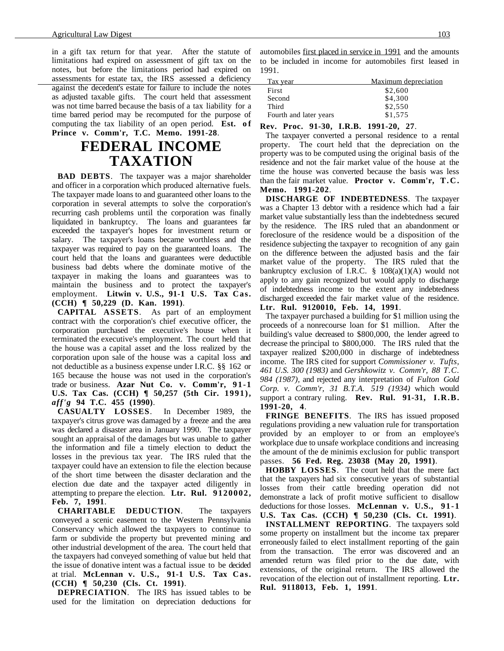in a gift tax return for that year. After the statute of limitations had expired on assessment of gift tax on the notes, but before the limitations period had expired on assessments for estate tax, the IRS assessed a deficiency Tax year Maximum depreciation against the decedent's estate for failure to include the notes as adjusted taxable gifts. The court held that assessment was not time barred because the basis of a tax liability for a time barred period may be recomputed for the purpose of computing the tax liability of an open period. **Est.** of **Prince v. Comm'r, T.C. Memo. 1991-28**.

# **FEDERAL INCOME TAXATION**

**BAD DEBTS**. The taxpayer was a major shareholder and officer in a corporation which produced alternative fuels. The taxpayer made loans to and guaranteed other loans to the corporation in several attempts to solve the corporation's recurring cash problems until the corporation was finally liquidated in bankruptcy. The loans and guarantees far exceeded the taxpayer's hopes for investment return or salary. The taxpayer's loans became worthless and the taxpayer was required to pay on the guaranteed loans. The court held that the loans and guarantees were deductible business bad debts where the dominate motive of the taxpayer in making the loans and guarantees was to maintain the business and to protect the taxpayer's employment. Litwin v. U.S., 91-1 U.S. Tax Cas. **(CCH) ¶ 50,229 (D. Kan. 1991)**.

**CAPITAL ASSETS**. As part of an employment contract with the corporation's chief executive officer, the corporation purchased the executive's house when it terminated the executive's employment. The court held that the house was a capital asset and the loss realized by the corporation upon sale of the house was a capital loss and not deductible as a business expense under I.R.C. §§ 162 or 165 because the house was not used in the corporation's trade or business. **Azar Nut Co. v. Comm'r, 91-1 U.S. Tax Cas. (CCH) ¶ 50,257 (5th Cir. 1991),** *aff'g* **94 T.C. 455 (1990)**.

**CASUALTY LOSSES**. In December 1989, the taxpayer's citrus grove was damaged by a freeze and the area was declared a disaster area in January 1990. The taxpayer sought an appraisal of the damages but was unable to gather the information and file a timely election to deduct the losses in the previous tax year. The IRS ruled that the taxpayer could have an extension to file the election because of the short time between the disaster declaration and the election due date and the taxpayer acted diligently in attempting to prepare the election. **Ltr. Rul. 9120002, Feb. 7, 1991**.

**CHARITABLE DEDUCTION**. The taxpayers conveyed a scenic easement to the Western Pennsylvania Conservancy which allowed the taxpayers to continue to farm or subdivide the property but prevented mining and other industrial development of the area. The court held that the taxpayers had conveyed something of value but held that the issue of donative intent was a factual issue to be decided at trial. **McLennan v. U.S., 91-1 U.S. Tax Cas. (CCH) ¶ 50,230 (Cls. Ct. 1991)**.

**DEPRECIATION**. The IRS has issued tables to be used for the limitation on depreciation deductions for automobiles first placed in service in 1991 and the amounts to be included in income for automobiles first leased in 1991.

| Tax year               | Maximum depreciation |  |  |
|------------------------|----------------------|--|--|
| First                  | \$2,600              |  |  |
| Second                 | \$4,300              |  |  |
| Third                  | \$2,550              |  |  |
| Fourth and later years | \$1,575              |  |  |
|                        |                      |  |  |

#### **Rev. Proc. 91-30, I.R.B. 1991-20, 27**.

The taxpayer converted a personal residence to a rental property. The court held that the depreciation on the property was to be computed using the original basis of the residence and not the fair market value of the house at the time the house was converted because the basis was less than the fair market value. **Proctor v. Comm'r, T.C. Memo. 1991-202**.

**DISCHARGE OF INDEBTEDNESS**. The taxpayer was a Chapter 13 debtor with a residence which had a fair market value substantially less than the indebtedness secured by the residence. The IRS ruled that an abandonment or foreclosure of the residence would be a disposition of the residence subjecting the taxpayer to recognition of any gain on the difference between the adjusted basis and the fair market value of the property. The IRS ruled that the bankruptcy exclusion of I.R.C.  $\S$  108(a)(1)(A) would not apply to any gain recognized but would apply to discharge of indebtedness income to the extent any indebtedness discharged exceeded the fair market value of the residence. **Ltr. Rul. 9120010, Feb. 14, 1991**.

The taxpayer purchased a building for \$1 million using the proceeds of a nonrecourse loan for \$1 million. After the building's value decreased to \$800,000, the lender agreed to decrease the principal to \$800,000. The IRS ruled that the taxpayer realized \$200,000 in discharge of indebtedness income. The IRS cited for support *Commissioner v. Tufts, 461 U.S. 300 (1983)* and *Gershkowitz v. Comm'r, 88 T.C. 984 (1987)*, and rejected any interpretation of *Fulton Gold Corp. v. Comm'r, 31 B.T.A. 519 (1934)* which would support a contrary ruling. **Rev. Rul. 91-31, I.R.B. 1991-20, 4**.

**FRINGE BENEFITS**. The IRS has issued proposed regulations providing a new valuation rule for transportation provided by an employer to or from an employee's workplace due to unsafe workplace conditions and increasing the amount of the de minimis exclusion for public transport passes. **56 Fed. Reg. 23038 (May 20, 1991)**.

**HOBBY LOSSES**. The court held that the mere fact that the taxpayers had six consecutive years of substantial losses from their cattle breeding operation did not demonstrate a lack of profit motive sufficient to disallow deductions for those losses. **McLennan v. U.S., 91-1 U.S. Tax Cas. (CCH) ¶ 50,230 (Cls. Ct. 1991)**.

**INSTALLMENT REPORTING**. The taxpayers sold some property on installment but the income tax preparer erroneously failed to elect installment reporting of the gain from the transaction. The error was discovered and an amended return was filed prior to the due date, with extensions, of the original return. The IRS allowed the revocation of the election out of installment reporting. **Ltr. Rul. 9118013, Feb. 1, 1991**.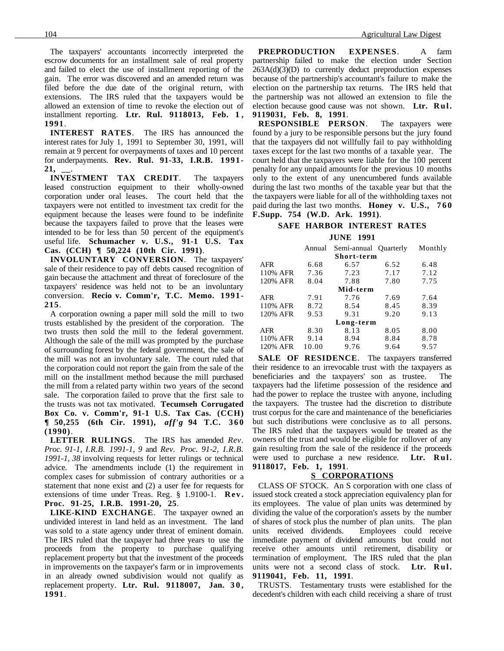The taxpayers' accountants incorrectly interpreted the escrow documents for an installment sale of real property and failed to elect the use of installment reporting of the gain. The error was discovered and an amended return was filed before the due date of the original return, with extensions. The IRS ruled that the taxpayers would be allowed an extension of time to revoke the election out of installment reporting. **Ltr. Rul. 9118013, Feb. 1 , 1991**.

**INTEREST RATES**. The IRS has announced the interest rates for July 1, 1991 to September 30, 1991, will remain at 9 percent for overpayments of taxes and 10 percent for underpayments. **Rev. Rul. 91-33, I.R.B. 1991- 21, \_\_**.

**INVESTMENT TAX CREDIT**. The taxpayers leased construction equipment to their wholly-owned corporation under oral leases. The court held that the taxpayers were not entitled to investment tax credit for the equipment because the leases were found to be indefinite because the taxpayers failed to prove that the leases were intended to be for less than 50 percent of the equipment's useful life. **Schumacher v. U.S., 91-1 U.S. Tax Cas. (CCH) ¶ 50,224 (10th Cir. 1991)**.

**INVOLUNTARY CONVERSION**. The taxpayers' sale of their residence to pay off debts caused recognition of gain because the attachment and threat of foreclosure of the taxpayers' residence was held not to be an involuntary conversion. **Recio v. Comm'r, T.C. Memo. 1991- 215**.

A corporation owning a paper mill sold the mill to two trusts established by the president of the corporation. The two trusts then sold the mill to the federal government. Although the sale of the mill was prompted by the purchase of surrounding forest by the federal government, the sale of the mill was not an involuntary sale. The court ruled that the corporation could not report the gain from the sale of the mill on the installment method because the mill purchased the mill from a related party within two years of the second sale. The corporation failed to prove that the first sale to the trusts was not tax motivated. **Tecumseh Corrugated Box Co. v. Comm'r, 91-1 U.S. Tax Cas. (CCH) ¶ 50,255 (6th Cir. 1991),** *aff'g* **94 T.C. 360 (1990)**.

**LETTER RULINGS**. The IRS has amended *Rev. Proc. 91-1, I.R.B. 1991-1, 9* and *Rev. Proc. 91-2, I.R.B. 1991-1, 38* involving requests for letter rulings or technical advice. The amendments include (1) the requirement in complex cases for submission of contrary authorities or a statement that none exist and (2) a user fee for requests for extensions of time under Treas. Reg. § 1.9100-1. **Rev. Proc. 91-25, I.R.B. 1991-20, 25**.

**LIKE-KIND EXCHANGE**. The taxpayer owned an undivided interest in land held as an investment. The land was sold to a state agency under threat of eminent domain. The IRS ruled that the taxpayer had three years to use the proceeds from the property to purchase qualifying replacement property but that the investment of the proceeds in improvements on the taxpayer's farm or in improvements in an already owned subdivision would not qualify as replacement property. Ltr. Rul. 9118007, Jan. 30, **1991**.

**PREPRODUCTION EXPENSES.** A farm partnership failed to make the election under Section  $263A(d)(3)(D)$  to currently deduct preproduction expenses because of the partnership's accountant's failure to make the election on the partnership tax returns. The IRS held that the partnership was not allowed an extension to file the election because good cause was not shown. **Ltr. Rul. 9119031, Feb. 8, 1991**.

**RESPONSIBLE PERSON**. The taxpayers were found by a jury to be responsible persons but the jury found that the taxpayers did not willfully fail to pay withholding taxes except for the last two months of a taxable year. The court held that the taxpayers were liable for the 100 percent penalty for any unpaid amounts for the previous 10 months only to the extent of any unencumbered funds available during the last two months of the taxable year but that the the taxpayers were liable for all of the withholding taxes not paid during the last two months. **Honey v. U.S., 760 F.Supp. 754 (W.D. Ark. 1991)**.

#### **SAFE HARBOR INTEREST RATES JUNE 1991**

|          | Annual | Semi-annual Quarterly |      | Monthly |
|----------|--------|-----------------------|------|---------|
|          |        | Short-term            |      |         |
| AFR      | 6.68   | 6.57                  | 6.52 | 6.48    |
| 110% AFR | 7.36   | 7.23                  | 7.17 | 7.12    |
| 120% AFR | 8.04   | 7.88                  | 7.80 | 7.75    |
|          |        | Mid-term              |      |         |
| AFR      | 7.91   | 7.76                  | 7.69 | 7.64    |
| 110% AFR | 8.72   | 8.54                  | 8.45 | 8.39    |
| 120% AFR | 9.53   | 9.31                  | 9.20 | 9.13    |
|          |        | Long-term             |      |         |
| AFR      | 8.30   | 8.13                  | 8.05 | 8.00    |
| 110% AFR | 9.14   | 8.94                  | 8.84 | 8.78    |
| 120% AFR | 10.00  | 9.76                  | 9.64 | 9.57    |

**SALE OF RESIDENCE**. The taxpayers transferred their residence to an irrevocable trust with the taxpayers as beneficiaries and the taxpayers' son as trustee. The taxpayers had the lifetime possession of the residence and had the power to replace the trustee with anyone, including the taxpayers. The trustee had the discretion to distribute trust corpus for the care and maintenance of the beneficiaries but such distributions were conclusive as to all persons. The IRS ruled that the taxpayers would be treated as the owners of the trust and would be eligible for rollover of any gain resulting from the sale of the residence if the proceeds were used to purchase a new residence. **Ltr. Rul. 9118017, Feb. 1, 1991**.

#### **S CORPORATIONS**

CLASS OF STOCK. An S corporation with one class of issued stock created a stock appreciation equivalency plan for its employees. The value of plan units was determined by dividing the value of the corporation's assets by the number of shares of stock plus the number of plan units. The plan units received dividends. Employees could receive immediate payment of dividend amounts but could not receive other amounts until retirement, disability or termination of employment. The IRS ruled that the plan units were not a second class of stock. **Ltr. Rul. 9119041, Feb. 11, 1991**.

TRUSTS. Testamentary trusts were established for the decedent's children with each child receiving a share of trust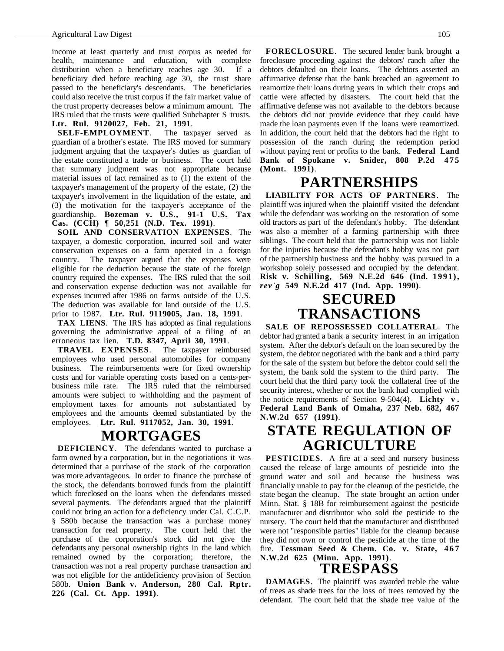income at least quarterly and trust corpus as needed for health, maintenance and education, with complete distribution when a beneficiary reaches age 30. If a beneficiary died before reaching age 30, the trust share passed to the beneficiary's descendants. The beneficiaries could also receive the trust corpus if the fair market value of the trust property decreases below a minimum amount. The IRS ruled that the trusts were qualified Subchapter S trusts. **Ltr. Rul. 9120027, Feb. 21, 1991**.

**SELF-EMPLOYMENT**. The taxpayer served as guardian of a brother's estate. The IRS moved for summary judgment arguing that the taxpayer's duties as guardian of the estate constituted a trade or business. The court held that summary judgment was not appropriate because material issues of fact remained as to (1) the extent of the taxpayer's management of the property of the estate, (2) the taxpayer's involvement in the liquidation of the estate, and (3) the motivation for the taxpayer's acceptance of the guardianship. **Bozeman v. U.S., 91-1 U.S. Tax Cas. (CCH) ¶ 50,251 (N.D. Tex. 1991)**.

**SOIL AND CONSERVATION EXPENSES**. The taxpayer, a domestic corporation, incurred soil and water conservation expenses on a farm operated in a foreign country. The taxpayer argued that the expenses were eligible for the deduction because the state of the foreign country required the expenses. The IRS ruled that the soil and conservation expense deduction was not available for expenses incurred after 1986 on farms outside of the U.S. The deduction was available for land outside of the U.S. prior to 1987. **Ltr. Rul. 9119005, Jan. 18, 1991**.

**TAX LIENS**. The IRS has adopted as final regulations governing the administrative appeal of a filing of an erroneous tax lien. **T.D. 8347, April 30, 1991**.

**TRAVEL EXPENSES**. The taxpayer reimbursed employees who used personal automobiles for company business. The reimbursements were for fixed ownership costs and for variable operating costs based on a cents-perbusiness mile rate. The IRS ruled that the reimbursed amounts were subject to withholding and the payment of employment taxes for amounts not substantiated by employees and the amounts deemed substantiated by the employees. **Ltr. Rul. 9117052, Jan. 30, 1991**.

### **MORTGAGES**

**DEFICIENCY**. The defendants wanted to purchase a farm owned by a corporation, but in the negotiations it was determined that a purchase of the stock of the corporation was more advantageous. In order to finance the purchase of the stock, the defendants borrowed funds from the plaintiff which foreclosed on the loans when the defendants missed several payments. The defendants argued that the plaintiff could not bring an action for a deficiency under Cal. C.C.P. § 580b because the transaction was a purchase money transaction for real property. The court held that the purchase of the corporation's stock did not give the defendants any personal ownership rights in the land which remained owned by the corporation; therefore, the transaction was not a real property purchase transaction and was not eligible for the antideficiency provision of Section 580b. **Union Bank v. Anderson, 280 Cal. Rptr. 226 (Cal. Ct. App. 1991)**.

**FORECLOSURE**. The secured lender bank brought a foreclosure proceeding against the debtors' ranch after the debtors defaulted on their loans. The debtors asserted an affirmative defense that the bank breached an agreement to reamortize their loans during years in which their crops and cattle were affected by disasters. The court held that the affirmative defense was not available to the debtors because the debtors did not provide evidence that they could have made the loan payments even if the loans were reamortized. In addition, the court held that the debtors had the right to possession of the ranch during the redemption period without paying rent or profits to the bank. **Federal Land Bank of Spokane v. Snider, 808 P.2d 475 (Mont. 1991)**.

# **PARTNERSHIPS**

**LIABILITY FOR ACTS OF PARTNERS**. The plaintiff was injured when the plaintiff visited the defendant while the defendant was working on the restoration of some old tractors as part of the defendant's hobby. The defendant was also a member of a farming partnership with three siblings. The court held that the partnership was not liable for the injuries because the defendant's hobby was not part of the partnership business and the hobby was pursued in a workshop solely possessed and occupied by the defendant. **Risk v. Schilling, 569 N.E.2d 646 (Ind. 1991),** *rev'g* **549 N.E.2d 417 (Ind. App. 1990)**.

# **SECURED TRANSACTIONS**

**SALE OF REPOSSESSED COLLATERAL**. The debtor had granted a bank a security interest in an irrigation system. After the debtor's default on the loan secured by the system, the debtor negotiated with the bank and a third party for the sale of the system but before the debtor could sell the system, the bank sold the system to the third party. The court held that the third party took the collateral free of the security interest, whether or not the bank had complied with the notice requirements of Section 9-504(4). **Lichty v . Federal Land Bank of Omaha, 237 Neb. 682, 467 N.W.2d 657 (1991)**.

## **STATE REGULATION OF AGRICULTURE**

**PESTICIDES**. A fire at a seed and nursery business caused the release of large amounts of pesticide into the ground water and soil and because the business was financially unable to pay for the cleanup of the pesticide, the state began the cleanup. The state brought an action under Minn. Stat. § 18B for reimbursement against the pesticide manufacturer and distributor who sold the pesticide to the nursery. The court held that the manufacturer and distributed were not "responsible parties" liable for the cleanup because they did not own or control the pesticide at the time of the fire. **Tessman Seed & Chem. Co. v. State, 467 N.W.2d 625 (Minn. App. 1991)**.

### **TRESPASS**

**DAMAGES**. The plaintiff was awarded treble the value of trees as shade trees for the loss of trees removed by the defendant. The court held that the shade tree value of the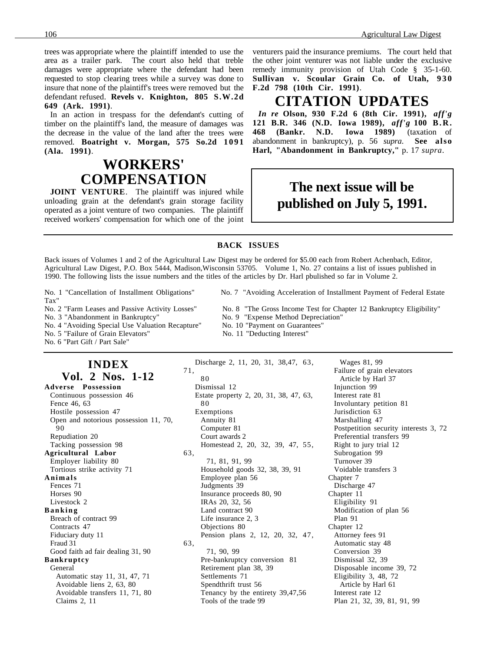trees was appropriate where the plaintiff intended to use the area as a trailer park. The court also held that treble damages were appropriate where the defendant had been requested to stop clearing trees while a survey was done to insure that none of the plaintiff's trees were removed but the defendant refused. **Revels v. Knighton, 805 S.W.2d 649 (Ark. 1991)**.

In an action in trespass for the defendant's cutting of timber on the plaintiff's land, the measure of damages was the decrease in the value of the land after the trees were removed. **Boatright v. Morgan, 575 So.2d 1091 (Ala. 1991)**.

# **WORKERS' COMPENSATION**

**JOINT VENTURE**. The plaintiff was injured while unloading grain at the defendant's grain storage facility operated as a joint venture of two companies. The plaintiff received workers' compensation for which one of the joint venturers paid the insurance premiums. The court held that the other joint venturer was not liable under the exclusive remedy immunity provision of Utah Code § 35-1-60. Sullivan v. Scoular Grain Co. of Utah, 930 **F.2d 798 (10th Cir. 1991)**.

### **CITATION UPDATES**

*In re* **Olson, 930 F.2d 6 (8th Cir. 1991),** *aff'g* **121 B.R. 346 (N.D. Iowa 1989),** *aff'g* **100 B.R. 468 (Bankr. N.D. Iowa 1989)** (taxation of abandonment in bankruptcy), p. 56 *supra*. **See also Harl, "Abandonment in Bankruptcy,"** p. 17 *supra*.

### **The next issue will be published on July 5, 1991.**

#### **BACK ISSUES**

Back issues of Volumes 1 and 2 of the Agricultural Law Digest may be ordered for \$5.00 each from Robert Achenbach, Editor, Agricultural Law Digest, P.O. Box 5444, Madison,Wisconsin 53705. Volume 1, No. 27 contains a list of issues published in 1990. The following lists the issue numbers and the titles of the articles by Dr. Harl pbulished so far in Volume 2.

Tax"

No. 3 "Abandonment in Bankruptcy" No. 9 "Expense Method Depreciation"<br>No. 4 "Avoiding Special Use Valuation Recapture" No. 10 "Payment on Guarantees" No. 4 "Avoiding Special Use Valuation Recapture"

No. 5 "Failure of Grain Elevators" No. 11 "Deducting Interest"

No. 6 "Part Gift / Part Sale"

### **INDEX Vol. 2 Nos. 1-12**

**Adverse Possession** Continuous possession 46 Fence 46, 63 Hostile possession 47 Open and notorious possession 11, 70, 90 Repudiation 20 Tacking possession 98 **Agricultural Labor** Employer liability 80 Tortious strike activity 71 **Animals** Fences 71 Horses 90 Livestock 2 **Banking** Breach of contract 99 Contracts 47 Fiduciary duty 11 Fraud 31 Good faith ad fair dealing 31, 90 **Bankruptcy** General Automatic stay 11, 31, 47, 71 Avoidable liens 2, 63, 80 Avoidable transfers 11, 71, 80 Claims 2, 11

80 Dismissal 12 Estate property 2, 20, 31, 38, 47, 63, 80 Exemptions Annuity 81 Computer 81 Court awards 2 Homestead 2, 20, 32, 39, 47, 55, 63, 71, 81, 91, 99 Household goods 32, 38, 39, 91 Employee plan 56 Judgments 39 Insurance proceeds 80, 90 IRAs 20, 32, 56 Land contract 90 Life insurance 2, 3 Objections 80 Pension plans 2, 12, 20, 32, 47, 63, 71, 90, 99 Pre-bankruptcy conversion 81 Retirement plan 38, 39 Settlements 71 Spendthrift trust 56 Tenancy by the entirety 39,47,56 Tools of the trade 99

Wages 81, 99 Failure of grain elevators Article by Harl 37 Injunction 99 Interest rate 81 Involuntary petition 81 Jurisdiction 63 Marshalling 47 Postpetition security interests 3, 72 Preferential transfers 99 Right to jury trial 12 Subrogation 99 Turnover 39 Voidable transfers 3 Chapter 7 Discharge 47 Chapter 11 Eligibility 91 Modification of plan 56 Plan 91 Chapter 12 Attorney fees 91 Automatic stay 48 Conversion 39 Dismissal 32, 39 Disposable income 39, 72 Eligibility 3, 48, 72 Article by Harl 61 Interest rate 12 Plan 21, 32, 39, 81, 91, 99

No. 1 "Cancellation of Installment Obligations" No. 7 "Avoiding Acceleration of Installment Payment of Federal Estate

- No. 2 "Farm Leases and Passive Activity Losses" No. 8 "The Gross Income Test for Chapter 12 Bankruptcy Eligibility"
	-
	-
	-

Discharge 2, 11, 20, 31, 38,47, 63,

71,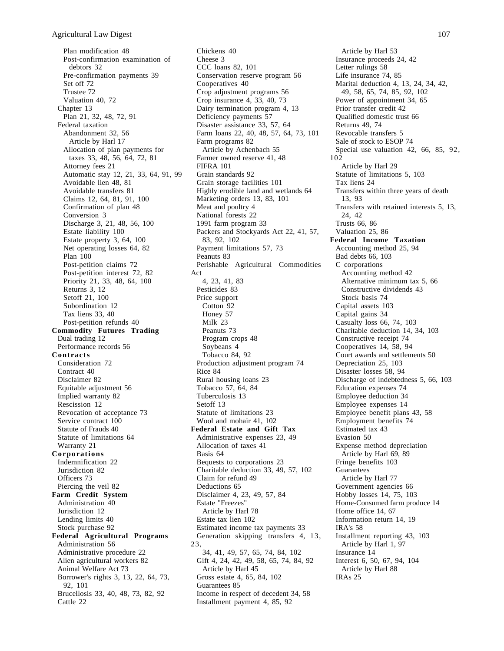Plan modification 48 Post-confirmation examination of debtors 32 Pre-confirmation payments 39 Set off 72 Trustee 72 Valuation 40, 72 Chapter 13 Plan 21, 32, 48, 72, 91 Federal taxation Abandonment 32, 56 Article by Harl 17 Allocation of plan payments for taxes 33, 48, 56, 64, 72, 81 Attorney fees 21 Automatic stay 12, 21, 33, 64, 91, 99 Avoidable lien 48, 81 Avoidable transfers 81 Claims 12, 64, 81, 91, 100 Confirmation of plan 48 Conversion 3 Discharge 3, 21, 48, 56, 100 Estate liability 100 Estate property 3, 64, 100 Net operating losses 64, 82 Plan 100 Post-petition claims 72 Post-petition interest 72, 82 Priority 21, 33, 48, 64, 100 Returns 3, 12 Setoff 21, 100 Subordination 12 Tax liens 33, 40 Post-petition refunds 40 **Commodity Futures Trading** Dual trading 12 Performance records 56 **Contracts** Consideration 72 Contract 40 Disclaimer 82 Equitable adjustment 56 Implied warranty 82 Rescission 12 Revocation of acceptance 73 Service contract 100 Statute of Frauds 40 Statute of limitations 64 Warranty 21 **Corporations** Indemnification 22 Jurisdiction 82 Officers 73 Piercing the veil 82 **Farm Credit System** Administration 40 Jurisdiction 12 Lending limits 40 Stock purchase 92 **Federal Agricultural Programs** Administration 56 Administrative procedure 22 Alien agricultural workers 82 Animal Welfare Act 73 Borrower's rights 3, 13, 22, 64, 73, 92, 101 Brucellosis 33, 40, 48, 73, 82, 92 Cattle 22

Chickens 40 Cheese 3 CCC loans 82, 101 Conservation reserve program 56 Cooperatives 40 Crop adjustment programs 56 Crop insurance 4, 33, 40, 73 Dairy termination program 4, 13 Deficiency payments 57 Disaster assistance 33, 57, 64 Farm loans 22, 40, 48, 57, 64, 73, 101 Farm programs 82 Article by Achenbach 55 Farmer owned reserve 41, 48 FIFRA 101 Grain standards 92 Grain storage facilities 101 Highly erodible land and wetlands 64 Marketing orders 13, 83, 101 Meat and poultry 4 National forests 22 1991 farm program 33 Packers and Stockyards Act 22, 41, 57, 83, 92, 102 Payment limitations 57, 73 Peanuts 83 Perishable Agricultural Commodities Act 4, 23, 41, 83 Pesticides 83 Price support Cotton 92 Honey 57 Milk 23 Peanuts 73 Program crops 48 Soybeans 4 Tobacco 84, 92 Production adjustment program 74 Rice 84 Rural housing loans 23 Tobacco 57, 64, 84 Tuberculosis 13 Setoff 13 Statute of limitations 23 Wool and mohair 41, 102 **Federal Estate and Gift Tax** Administrative expenses 23, 49 Allocation of taxes 41 Basis 64 Bequests to corporations 23 Charitable deduction 33, 49, 57, 102 Claim for refund 49 Deductions 65 Disclaimer 4, 23, 49, 57, 84 Estate "Freezes" Article by Harl 78 Estate tax lien 102 Estimated income tax payments 33 Generation skipping transfers 4, 13, 23, 34, 41, 49, 57, 65, 74, 84, 102 Gift 4, 24, 42, 49, 58, 65, 74, 84, 92 Article by Harl 45 Gross estate 4, 65, 84, 102 Guarantees 85 Income in respect of decedent 34, 58 Installment payment 4, 85, 92

Article by Harl 53 Insurance proceeds 24, 42 Letter rulings 58 Life insurance 74, 85 Marital deduction 4, 13, 24, 34, 42, 49, 58, 65, 74, 85, 92, 102 Power of appointment 34, 65 Prior transfer credit 42 Qualified domestic trust 66 Returns 49, 74 Revocable transfers 5 Sale of stock to ESOP 74 Special use valuation 42, 66, 85, 92, 102 Article by Harl 29 Statute of limitations 5, 103 Tax liens 24 Transfers within three years of death 13, 93 Transfers with retained interests 5, 13, 24, 42 Trusts 66, 86 Valuation 25, 86 **Federal Income Taxation** Accounting method 25, 94 Bad debts 66, 103 C corporations Accounting method 42 Alternative minimum tax 5, 66 Constructive dividends 43 Stock basis 74 Capital assets 103 Capital gains 34 Casualty loss 66, 74, 103 Charitable deduction 14, 34, 103 Constructive receipt 74 Cooperatives 14, 58, 94 Court awards and settlements 50 Depreciation 25, 103 Disaster losses 58, 94 Discharge of indebtedness 5, 66, 103 Education expenses 74 Employee deduction 34 Employee expenses 14 Employee benefit plans 43, 58 Employment benefits 74 Estimated tax 43 Evasion 50 Expense method depreciation Article by Harl 69, 89 Fringe benefits 103 Guarantees Article by Harl 77 Government agencies 66 Hobby losses 14, 75, 103 Home-Consumed farm produce 14 Home office 14, 67 Information return 14, 19 IRA's 58 Installment reporting 43, 103 Article by Harl 1, 97 Insurance 14 Interest 6, 50, 67, 94, 104 Article by Harl 88 IRAs 25